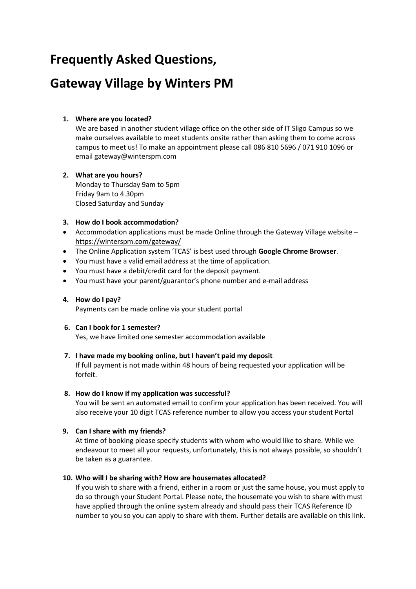# **Frequently Asked Questions,**

# **Gateway Village by Winters PM**

# **1. Where are you located?**

We are based in another student village office on the other side of IT Sligo Campus so we make ourselves available to meet students onsite rather than asking them to come across campus to meet us! To make an appointment please call 086 810 5696 / 071 910 1096 or email [gateway@winterspm.com](mailto:gateway@winterspm.com)

# **2. What are you hours?**

Monday to Thursday 9am to 5pm Friday 9am to 4.30pm Closed Saturday and Sunday

# **3. How do I book accommodation?**

- Accommodation applications must be made Online through the Gateway Village website <https://winterspm.com/gateway/>
- The Online Application system 'TCAS' is best used through **Google Chrome Browser**.
- You must have a valid email address at the time of application.
- You must have a debit/credit card for the deposit payment.
- You must have your parent/guarantor's phone number and e-mail address

# **4. How do I pay?**

Payments can be made online via your student portal

# **6. Can I book for 1 semester?**

Yes, we have limited one semester accommodation available

# **7. I have made my booking online, but I haven't paid my deposit**

If full payment is not made within 48 hours of being requested your application will be forfeit.

# **8. How do I know if my application was successful?**

You will be sent an automated email to confirm your application has been received. You will also receive your 10 digit TCAS reference number to allow you access your student Portal

# **9. Can I share with my friends?**

At time of booking please specify students with whom who would like to share. While we endeavour to meet all your requests, unfortunately, this is not always possible, so shouldn't be taken as a guarantee.

# **10. Who will I be sharing with? How are housemates allocated?**

If you wish to share with a friend, either in a room or just the same house, you must apply to do so through your Student Portal. Please note, the housemate you wish to share with must have applied through the online system already and should pass their TCAS Reference ID number to you so you can apply to share with them. [Further details are available on this link.](http://thevillageclarion.com/images/TheVillage-Clarion-SharingRequest.pdf)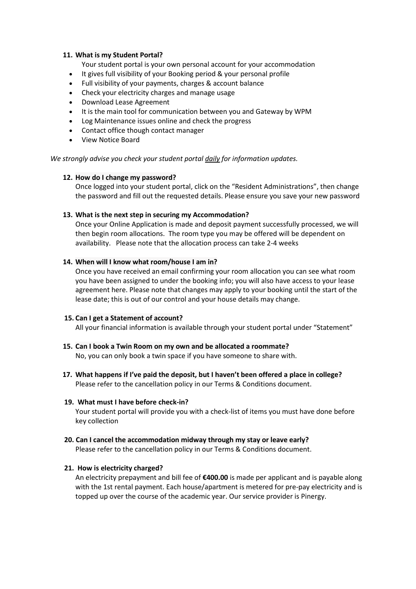## **11. What is my Student Portal?**

Your student portal is your own personal account for your accommodation

- It gives full visibility of your Booking period & your personal profile
- Full visibility of your payments, charges & account balance
- Check your electricity charges and manage usage
- Download Lease Agreement
- It is the main tool for communication between you and Gateway by WPM
- Log Maintenance issues online and check the progress
- Contact office though contact manager
- View Notice Board

*We strongly advise you check your student portal daily for information updates.*

# **12. How do I change my password?**

Once logged into your student portal, click on the "Resident Administrations", then change the password and fill out the requested details. Please ensure you save your new password

# **13. What is the next step in securing my Accommodation?**

Once your Online Application is made and deposit payment successfully processed, we will then begin room allocations. The room type you may be offered will be dependent on availability. Please note that the allocation process can take 2-4 weeks

## **14. When will I know what room/house I am in?**

Once you have received an email confirming your room allocation you can see what room you have been assigned to under the booking info; you will also have access to your lease agreement here. Please note that changes may apply to your booking until the start of the lease date; this is out of our control and your house details may change.

# **15. Can I get a Statement of account?**

All your financial information is available through your student portal under "Statement"

- **15. Can I book a Twin Room on my own and be allocated a roommate?** No, you can only book a twin space if you have someone to share with.
- **17. What happens if I've paid the deposit, but I haven't been offered a place in college?** Please refer to the cancellation policy in our Terms & Conditions document.

# **19. What must I have before check-in?**

Your student portal will provide you with a check-list of items you must have done before key collection

 **20. Can I cancel the accommodation midway through my stay or leave early?** Please refer to the cancellation policy in our Terms & Conditions document.

# **21. How is electricity charged?**

An electricity prepayment and bill fee of **€400.00** is made per applicant and is payable along with the 1st rental payment. Each house/apartment is metered for pre-pay electricity and is topped up over the course of the academic year. Our service provider is Pinergy.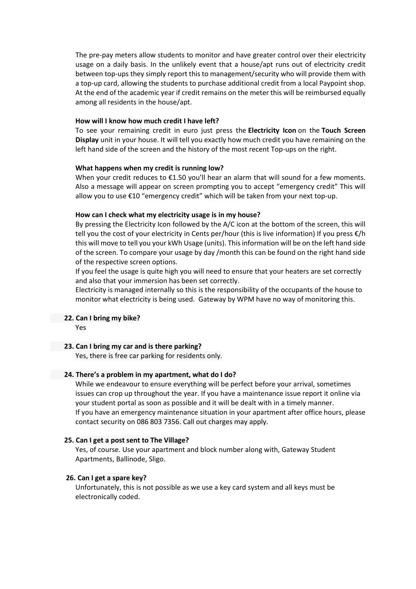The pre-pay meters allow students to monitor and have greater control over their electricity usage on a daily basis. In the unlikely event that a house/apt runs out of electricity credit between top-ups they simply report this to management/security who will provide them with a top-up card, allowing the students to purchase additional credit from a local Paypoint shop. At the end of the academic year if credit remains on the meter this will be reimbursed equally among all residents in the house/apt.

#### **How will I know how much credit I have left?**

To see your remaining credit in euro just press the **Electricity Icon** on the **Touch Screen Display** unit in your house. It will tell you exactly how much credit you have remaining on the left hand side of the screen and the history of the most recent Top-ups on the right.

## **What happens when my credit is running low?**

When your credit reduces to €1.50 you'll hear an alarm that will sound for a few moments. Also a message will appear on screen prompting you to accept "emergency credit" This will allow you to use €10 "emergency credit" which will be taken from your next top-up.

#### **How can I check what my electricity usage is in my house?**

By pressing the Electricity Icon followed by the A/C icon at the bottom of the screen, this will tell you the cost of your electricity in Cents per/hour (this is live information) If you press €/h this will move to tell you your kWh Usage (units). This information will be on the left hand side of the screen. To compare your usage by day /month this can be found on the right hand side of the respective screen options.

If you feel the usage is quite high you will need to ensure that your heaters are set correctly and also that your immersion has been set correctly.

Electricity is managed internally so this is the responsibility of the occupants of the house to monitor what electricity is being used. Gateway by WPM have no way of monitoring this.

#### **22. Can I bring my bike?**

Yes

#### **23. Can I bring my car and is there parking?**

Yes, there is free car parking for residents only.

#### **24. There's a problem in my apartment, what do I do?**

While we endeavour to ensure everything will be perfect before your arrival, sometimes issues can crop up throughout the year. If you have a maintenance issue report it online via your student portal as soon as possible and it will be dealt with in a timely manner. If you have an emergency maintenance situation in your apartment after office hours, please contact security on 086 803 7356. Call out charges may apply.

#### **25. Can I get a post sent to The Village?**

Yes, of course. Use your apartment and block number along with, Gateway Student Apartments, Ballinode, Sligo.

# **26. Can I get a spare key?**

Unfortunately, this is not possible as we use a key card system and all keys must be electronically coded.